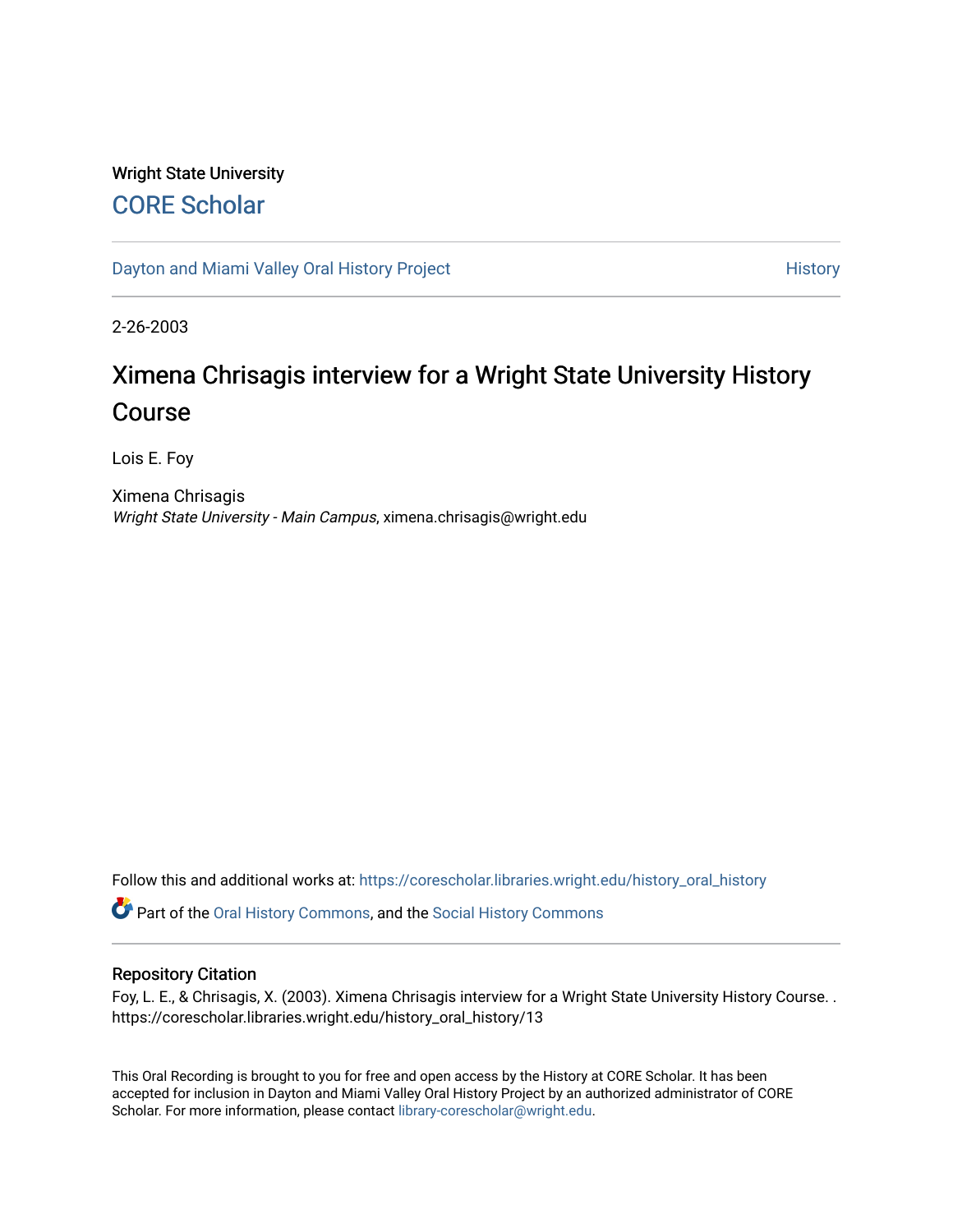## Wright State University [CORE Scholar](https://corescholar.libraries.wright.edu/)

[Dayton and Miami Valley Oral History Project](https://corescholar.libraries.wright.edu/history_oral_history) **History** History

2-26-2003

## Ximena Chrisagis interview for a Wright State University History Course

Lois E. Foy

Ximena Chrisagis Wright State University - Main Campus, ximena.chrisagis@wright.edu

Follow this and additional works at: [https://corescholar.libraries.wright.edu/history\\_oral\\_history](https://corescholar.libraries.wright.edu/history_oral_history?utm_source=corescholar.libraries.wright.edu%2Fhistory_oral_history%2F13&utm_medium=PDF&utm_campaign=PDFCoverPages) 

Part of the [Oral History Commons](http://network.bepress.com/hgg/discipline/1195?utm_source=corescholar.libraries.wright.edu%2Fhistory_oral_history%2F13&utm_medium=PDF&utm_campaign=PDFCoverPages), and the [Social History Commons](http://network.bepress.com/hgg/discipline/506?utm_source=corescholar.libraries.wright.edu%2Fhistory_oral_history%2F13&utm_medium=PDF&utm_campaign=PDFCoverPages)

## Repository Citation

Foy, L. E., & Chrisagis, X. (2003). Ximena Chrisagis interview for a Wright State University History Course. . https://corescholar.libraries.wright.edu/history\_oral\_history/13

This Oral Recording is brought to you for free and open access by the History at CORE Scholar. It has been accepted for inclusion in Dayton and Miami Valley Oral History Project by an authorized administrator of CORE Scholar. For more information, please contact [library-corescholar@wright.edu](mailto:library-corescholar@wright.edu).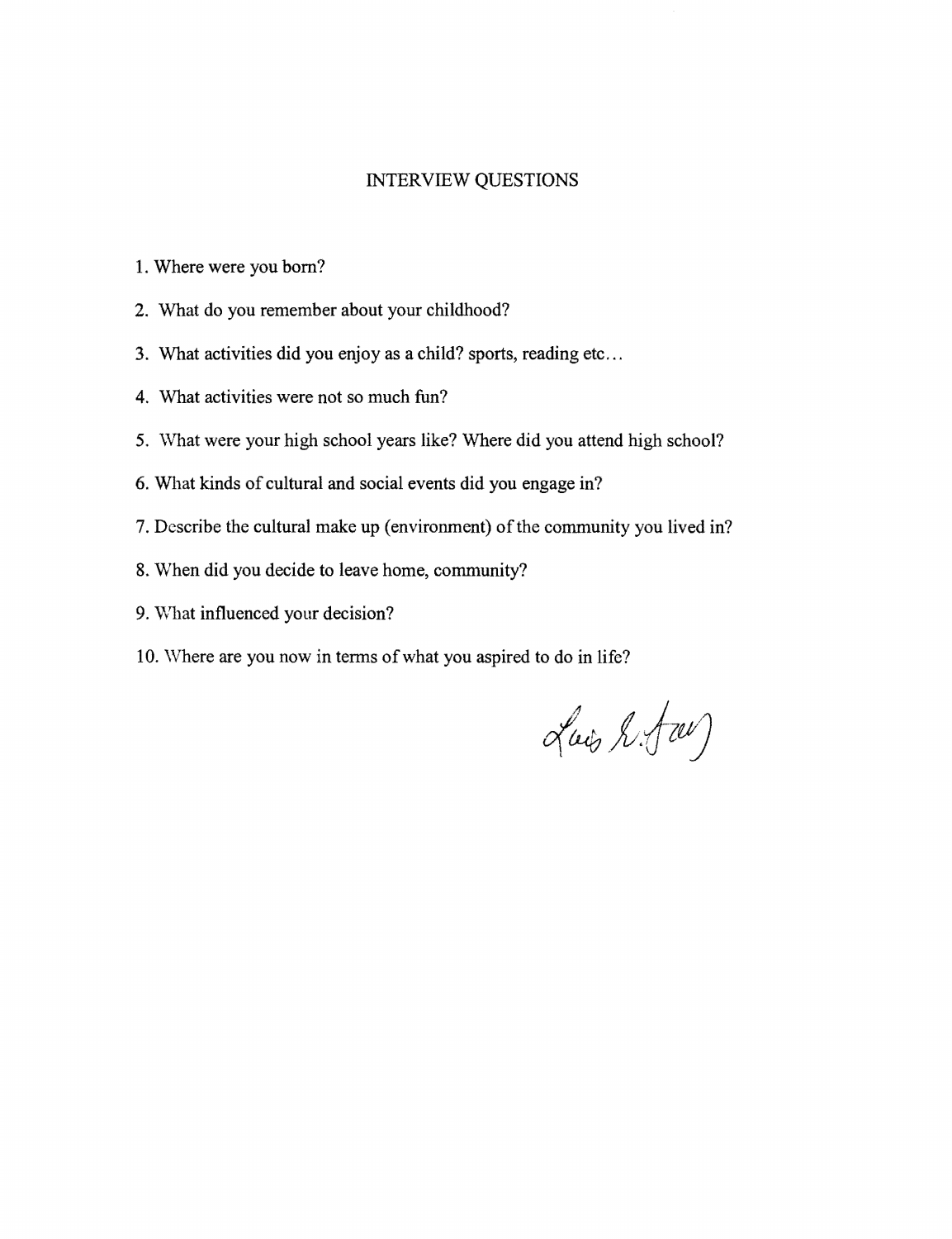## INTERVIEW QUESTIONS

- 1. Where were you born?
- 2. What do you remember about your childhood?
- 3. What activities did you enjoy as a child? sports, reading etc...
- 4. What activities were not so much fun?
- 5. What were your high school years like? Where did you attend high school?
- 6. What kinds of cultural and social events did you engage in?
- 7. Describe the cultural make up (environment) of the community you lived in?
- 8. When did you decide to leave home, community?
- 9. What influenced your decision?
- 10. Where are you now in terms of what you aspired to do in life?

Luis L.fw)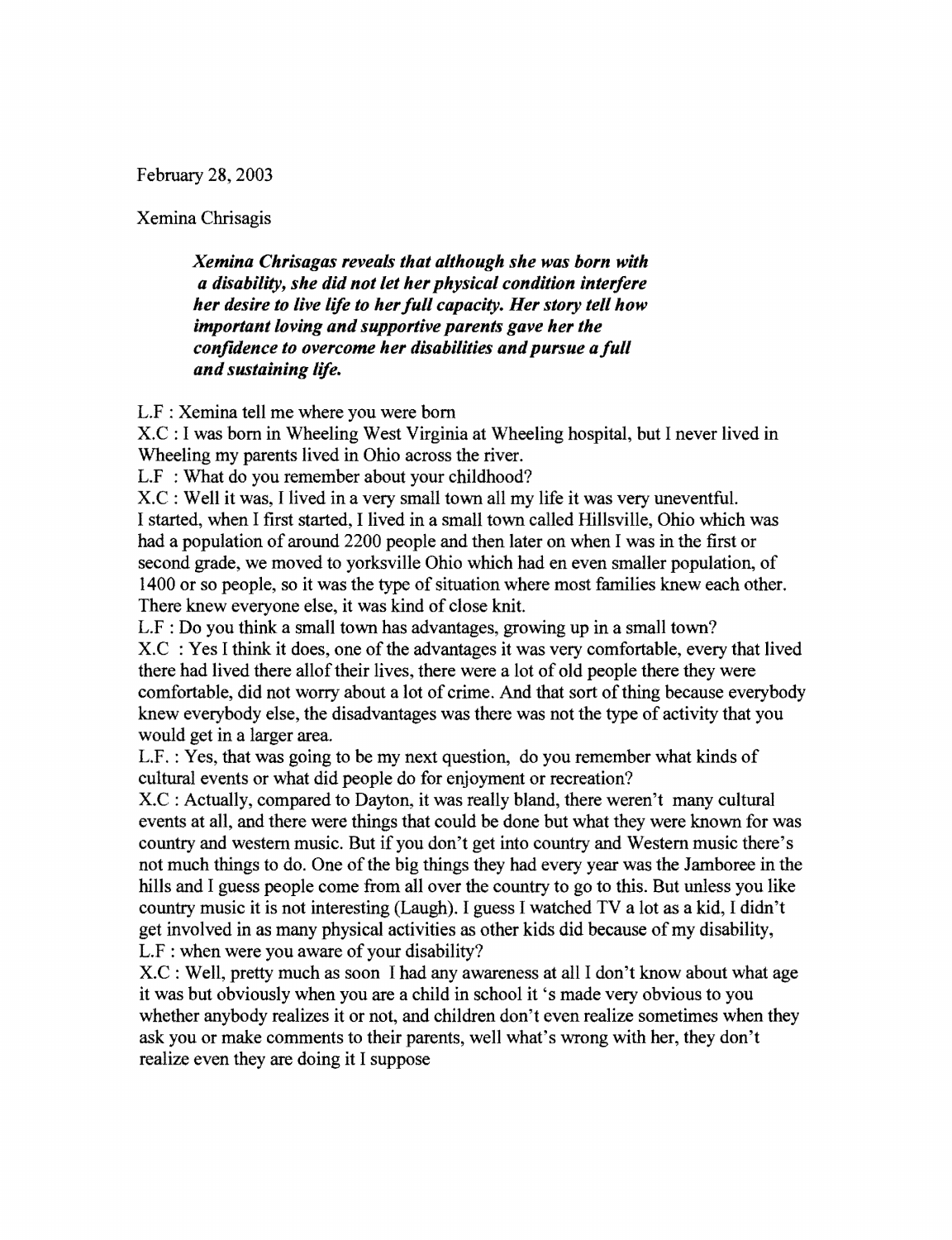February 28, 2003

Xemina Chrisagis

*Xemina Chrisagas reveals that although she was born with a disability, she did not let her physical condition interfere her desire to live life to her full capacity. Her story tell how important loving and supportive parents gave her the* confidence to overcome her disabilities and pursue a full *and sustaining life.* 

L.F : Xemina tell me where you were born

X.C : I was born in Wheeling West Virginia at Wheeling hospital, but I never lived in Wheeling my parents lived in Ohio across the river.

L.F : What do you remember about your childhood?

X.C : Well it was, I lived in a very small town all my life it was very uneventful. I started, when I first started, I lived in a small town called Hillsville, Ohio which was had a population of around 2200 people and then later on when I was in the first or second grade, we moved to yorksville Ohio which had en even smaller population, of 1400 or so people, so it was the type of situation where most families knew each other. There knew everyone else, it was kind of close knit.

L.F : Do you think a small town has advantages, growing up in a small town? X.C : Yes I think it does, one of the advantages it was very comfortable, every that lived there had lived there allof their lives, there were a lot of old people there they were comfortable, did not worry about a lot of crime. And that sort ofthing because everybody knew everybody else, the disadvantages was there was not the type of activity that you would get in a larger area.

L.F. : Yes, that was going to be my next question, do you remember what kinds of cultural events or what did people do for enjoyment or recreation?

X.C : Actually, compared to Dayton, it was really bland, there weren't many cultural events at all, and there were things that could be done but what they were known for was country and western music. But if you don't get into country and Western music there's not much things to do. One of the big things they had every year was the Jamboree in the hills and I guess people come from all over the country to go to this. But unless you like country music it is not interesting (Laugh). I guess I watched TV a lot as a kid, I didn't get involved in as many physical activities as other kids did because of my disability, L.F : when were you aware of your disability?

X.C : Well, pretty much as soon I had any awareness at all I don't know about what age it was but obviously when you are a child in school it 's made very obvious to you whether anybody realizes it or not, and children don't even realize sometimes when they ask you or make comments to their parents, well what's wrong with her, they don't realize even they are doing it I suppose